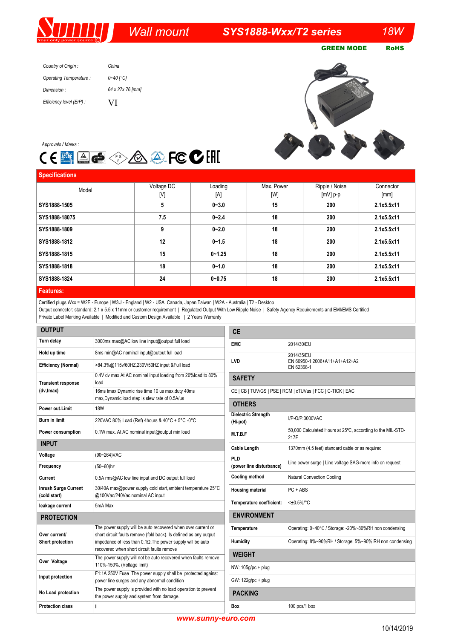# *Wall mount*

## *SYS1888-Wxx/T2 series 18W*

GREEN MODE RoHS

*Country of Origin : Operating Temperature : Dimension : Efficiency level (ErP) : China 0~40 [°C] 64 x 27x 76 [mm]* VI

**TIT I** 





| Voltage DC | Loading    | Max. Power | Ripple / Noise | Connector  |
|------------|------------|------------|----------------|------------|
|            |            |            |                | [mm]       |
| 5          | $0 - 3.0$  | 15         | 200            | 2.1x5.5x11 |
| 7.5        | $0 - 2.4$  | 18         | 200            | 2.1x5.5x11 |
| 9          | $0 - 2.0$  | 18         | 200            | 2.1x5.5x11 |
| 12         | $0 - 1.5$  | 18         | 200            | 2.1x5.5x11 |
| 15         | $0 - 1.25$ | 18         | 200            | 2.1x5.5x11 |
| 18         | $0 - 1.0$  | 18         | 200            | 2.1x5.5x11 |
| 24         | $0 - 0.75$ | 18         | 200            | 2.1x5.5x11 |
|            | [V]        | [A]        | [W]            | $[mV]$ p-p |

#### **Features:**

Certified plugs Wxx = W2E - Europe | W3U - England | W2 - USA, Canada, Japan,Taiwan | W2A - Australia | T2 - Desktop

Output connector: standard: 2.1 x 5.5 x 11mm or customer requirement | Regulated Output With Low Ripple Noise | Safety Agency Requirements and EMI/EMS Certified Private Label Marking Available | Modified and Custom Design Available | 2 Years Warranty

| <b>OUTPUT</b>                               |                                                                                                                                   | <b>CE</b>                                                  |                                                                    |  |
|---------------------------------------------|-----------------------------------------------------------------------------------------------------------------------------------|------------------------------------------------------------|--------------------------------------------------------------------|--|
| Turn delay                                  | 3000ms max@AC low line input@output full load                                                                                     | <b>EMC</b>                                                 | 2014/30/EU                                                         |  |
| Hold up time                                | 8ms min@AC nominal input@output full load                                                                                         |                                                            | 2014/35/EU<br>EN 60950-1:2006+A11+A1+A12+A2<br>EN 62368-1          |  |
| <b>Efficiency (Normal)</b>                  | >84.3%@115v/60HZ,230V/50HZ input &Full load                                                                                       | <b>LVD</b>                                                 |                                                                    |  |
| <b>Transient response</b>                   | 0.4V dv max At AC nominal input loading from 20%load to 80%<br>load                                                               | <b>SAFETY</b>                                              |                                                                    |  |
| (dv,tmax)                                   | 16ms tmax Dynamic rise time 10 us max, duty 40ms<br>max, Dynamic load step is slew rate of 0.5A/us                                | CE   CB   TUV/GS   PSE   RCM   cTUVus   FCC   C-TICK   EAC |                                                                    |  |
| Power out.Limit                             | <b>18W</b>                                                                                                                        | <b>OTHERS</b>                                              |                                                                    |  |
| <b>Burn in limit</b>                        | 220VAC 80% Load (Ref) 4hours & 40°C + 5°C -0°C                                                                                    | <b>Dielectric Strength</b><br>(Hi-pot)                     | I/P-O/P:3000VAC                                                    |  |
| Power consumption                           | 0.1W max. At AC nominal input@output min load                                                                                     | M.T.B.F                                                    | 50,000 Calculated Hours at 25°C, according to the MIL-STD-<br>217F |  |
| <b>INPUT</b>                                |                                                                                                                                   | <b>Cable Length</b>                                        | 1370mm (4.5 feet) standard cable or as required                    |  |
| Voltage                                     | (90~264) VAC                                                                                                                      | <b>PLD</b>                                                 | Line power surge   Line voltage SAG-more info on request           |  |
| Frequency                                   | $(50 - 60)$ hz                                                                                                                    | (power line disturbance)                                   |                                                                    |  |
| Current                                     | 0.5A rms@AC low line input and DC output full load                                                                                | <b>Cooling method</b>                                      | <b>Natural Convection Cooling</b>                                  |  |
| <b>Inrush Surge Current</b><br>(cold start) | 30/40A max@power supply cold start, ambient temperature 25°C<br>@100Vac/240Vac nominal AC input                                   | <b>Housing material</b>                                    | $PC + ABS$                                                         |  |
| leakage current                             | 5mA Max                                                                                                                           | Temperature coefficient:                                   | $<\pm 0.5\%$ /°C                                                   |  |
| <b>PROTECTION</b>                           |                                                                                                                                   | <b>ENVIRONMENT</b>                                         |                                                                    |  |
| Over current/                               | The power supply will be auto recovered when over current or<br>short circuit faults remove (fold back). Is defined as any output | Temperature                                                | Operating: 0~40°C / Storage: -20%~80%RH non condensing             |  |
| Short protection                            | impedance of less than $0.1\Omega$ . The power supply will be auto<br>recovered when short circuit faults remove                  | Humidity                                                   | Operating: 8%~90%RH / Storage: 5%~90% RH non condensing            |  |
|                                             | The power supply will not be auto recovered when faults remove                                                                    |                                                            |                                                                    |  |
| Over Voltage                                | 110%-150%. (Voltage limit)                                                                                                        | NW: 105g/pc + plug                                         |                                                                    |  |
| Input protection                            | F1:1A 250V Fuse The power supply shall be protected against<br>power line surges and any abnormal condition                       | GW: 122g/pc + plug                                         |                                                                    |  |
| No Load protection                          | The power supply is provided with no load operation to prevent<br>the power supply and system from damage.                        | <b>PACKING</b>                                             |                                                                    |  |
| <b>Protection class</b>                     | Ш                                                                                                                                 | Box                                                        | 100 pcs/1 box                                                      |  |